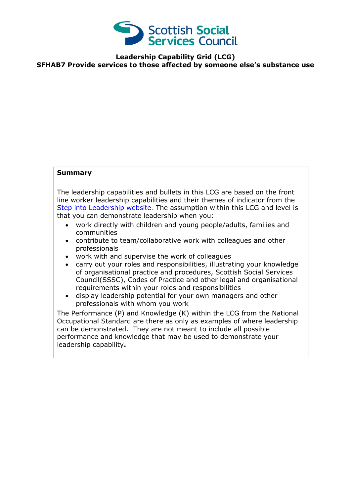

**Leadership Capability Grid (LCG) SFHAB7 Provide services to those affected by someone else's substance use** 

## **Summary**

The leadership capabilities and bullets in this LCG are based on the front line worker leadership capabilities and their themes of indicator from the [Step into Leadership website.](http://www.stepintoleadership.info/) The assumption within this LCG and level is that you can demonstrate leadership when you:

- work directly with children and young people/adults, families and communities
- contribute to team/collaborative work with colleagues and other professionals
- work with and supervise the work of colleagues
- carry out your roles and responsibilities, illustrating your knowledge of organisational practice and procedures, Scottish Social Services Council(SSSC), Codes of Practice and other legal and organisational requirements within your roles and responsibilities
- display leadership potential for your own managers and other professionals with whom you work

The Performance (P) and Knowledge (K) within the LCG from the National Occupational Standard are there as only as examples of where leadership can be demonstrated. They are not meant to include all possible performance and knowledge that may be used to demonstrate your leadership capability**.**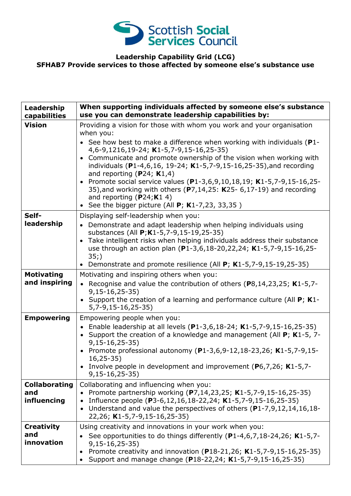

## **Leadership Capability Grid (LCG) SFHAB7 Provide services to those affected by someone else's substance use**

| Leadership<br>capabilities         | When supporting individuals affected by someone else's substance<br>use you can demonstrate leadership capabilities by:                                                                                                                                                                                                                                                                                                                                                                                                                  |
|------------------------------------|------------------------------------------------------------------------------------------------------------------------------------------------------------------------------------------------------------------------------------------------------------------------------------------------------------------------------------------------------------------------------------------------------------------------------------------------------------------------------------------------------------------------------------------|
| <b>Vision</b>                      | Providing a vision for those with whom you work and your organisation<br>when you:                                                                                                                                                                                                                                                                                                                                                                                                                                                       |
|                                    | • See how best to make a difference when working with individuals (P1-<br>4,6-9,1216,19-24; K1-5,7-9,15-16,25-35)<br>Communicate and promote ownership of the vision when working with<br>individuals (P1-4,6,16, 19-24; K1-5,7-9,15-16,25-35), and recording<br>and reporting (P24; $K1,4$ )<br>• Promote social service values (P1-3,6,9,10,18,19; K1-5,7-9,15-16,25-<br>35), and working with others ( $P7,14,25$ : K25- 6,17-19) and recording<br>and reporting $(P24; K1 4)$<br>• See the bigger picture (All $P$ ; K1-7,23, 33,35) |
| Self-<br>leadership                | Displaying self-leadership when you:<br>• Demonstrate and adapt leadership when helping individuals using                                                                                                                                                                                                                                                                                                                                                                                                                                |
|                                    | substances (All P; K1-5, 7-9, 15-19, 25-35)                                                                                                                                                                                                                                                                                                                                                                                                                                                                                              |
|                                    | Take intelligent risks when helping individuals address their substance<br>$\bullet$<br>use through an action plan (P1-3,6,18-20,22,24; K1-5,7-9,15-16,25-                                                                                                                                                                                                                                                                                                                                                                               |
|                                    | 35;                                                                                                                                                                                                                                                                                                                                                                                                                                                                                                                                      |
|                                    | Demonstrate and promote resilience (All $P$ ; K1-5,7-9,15-19,25-35)                                                                                                                                                                                                                                                                                                                                                                                                                                                                      |
| <b>Motivating</b><br>and inspiring | Motivating and inspiring others when you:<br>• Recognise and value the contribution of others (P8,14,23,25; K1-5,7-                                                                                                                                                                                                                                                                                                                                                                                                                      |
|                                    | $9,15-16,25-35)$                                                                                                                                                                                                                                                                                                                                                                                                                                                                                                                         |
|                                    | • Support the creation of a learning and performance culture (All P; K1-<br>$5,7-9,15-16,25-35)$                                                                                                                                                                                                                                                                                                                                                                                                                                         |
| <b>Empowering</b>                  | Empowering people when you:                                                                                                                                                                                                                                                                                                                                                                                                                                                                                                              |
|                                    | • Enable leadership at all levels (P1-3,6,18-24; K1-5,7-9,15-16,25-35)<br>• Support the creation of a knowledge and management (All P; K1-5, 7-<br>$9,15-16,25-35)$                                                                                                                                                                                                                                                                                                                                                                      |
|                                    | • Promote professional autonomy (P1-3,6,9-12,18-23,26; K1-5,7-9,15-<br>$16, 25 - 35)$                                                                                                                                                                                                                                                                                                                                                                                                                                                    |
|                                    | Involve people in development and improvement (P6,7,26; K1-5,7-<br>$9,15-16,25-35)$                                                                                                                                                                                                                                                                                                                                                                                                                                                      |
| <b>Collaborating</b>               | Collaborating and influencing when you:                                                                                                                                                                                                                                                                                                                                                                                                                                                                                                  |
| and<br>influencing                 | • Promote partnership working (P7,14,23,25; K1-5,7-9,15-16,25-35)<br>• Influence people (P3-6,12,16,18-22,24; K1-5,7-9,15-16,25-35)                                                                                                                                                                                                                                                                                                                                                                                                      |
|                                    | • Understand and value the perspectives of others (P1-7,9,12,14,16,18-<br>22,26; K1-5,7-9,15-16,25-35)                                                                                                                                                                                                                                                                                                                                                                                                                                   |
| <b>Creativity</b>                  | Using creativity and innovations in your work when you:                                                                                                                                                                                                                                                                                                                                                                                                                                                                                  |
| and<br>innovation                  | See opportunities to do things differently (P1-4,6,7,18-24,26; K1-5,7-                                                                                                                                                                                                                                                                                                                                                                                                                                                                   |
|                                    | $9,15-16,25-35)$<br>Promote creativity and innovation (P18-21,26; K1-5,7-9,15-16,25-35)<br>$\bullet$<br>Support and manage change (P18-22,24; K1-5,7-9,15-16,25-35)<br>$\bullet$                                                                                                                                                                                                                                                                                                                                                         |